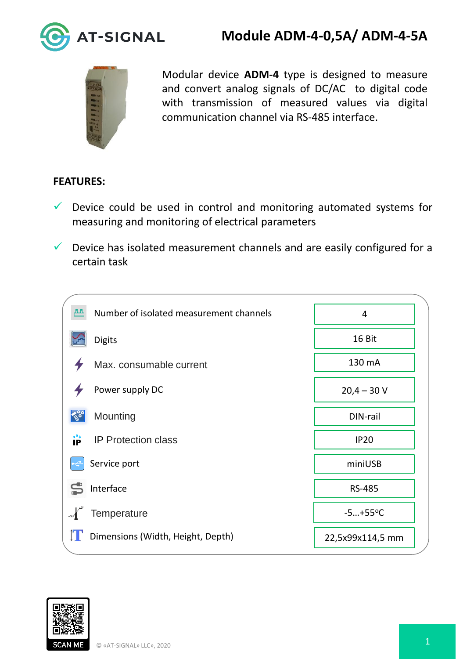

## **Module ADM-4-0,5А/ ADM-4-5А**



Modular device **ADM-4** type is designed to measure and convert analog signals of DC/AC to digital code with transmission of measured values via digital communication channel via RS-485 interface.

## **FEATURES:**

- $\checkmark$  Device could be used in control and monitoring automated systems for measuring and monitoring of electrical parameters
- $\checkmark$  Device has isolated measurement channels and are easily configured for a certain task